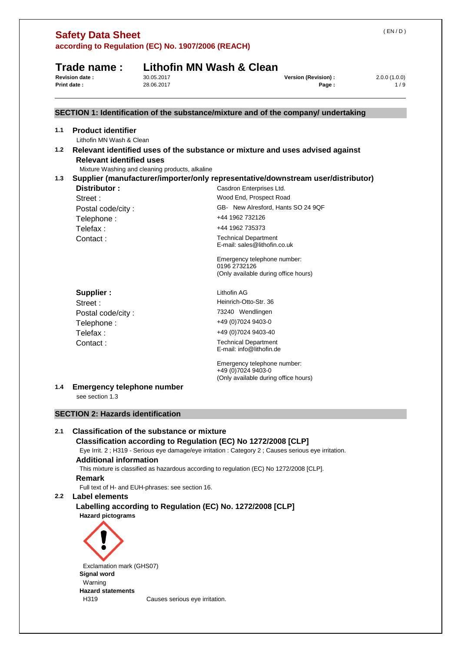|                  | <b>Safety Data Sheet</b><br>according to Regulation (EC) No. 1907/2006 (REACH)  |                                                  |                                                                                                                                                                       | (EN/D)              |
|------------------|---------------------------------------------------------------------------------|--------------------------------------------------|-----------------------------------------------------------------------------------------------------------------------------------------------------------------------|---------------------|
|                  | Trade name:<br>Revision date:<br>30.05.2017<br>28.06.2017<br><b>Print date:</b> |                                                  | Lithofin MN Wash & Clean<br>Version (Revision) :<br>Page:                                                                                                             | 2.0.0(1.0.0)<br>1/9 |
|                  |                                                                                 |                                                  | SECTION 1: Identification of the substance/mixture and of the company/ undertaking                                                                                    |                     |
| 1.1              | <b>Product identifier</b><br>Lithofin MN Wash & Clean                           |                                                  |                                                                                                                                                                       |                     |
| 1.2              | <b>Relevant identified uses</b>                                                 |                                                  | Relevant identified uses of the substance or mixture and uses advised against                                                                                         |                     |
|                  |                                                                                 | Mixture Washing and cleaning products, alkaline  |                                                                                                                                                                       |                     |
| 1.3              |                                                                                 |                                                  | Supplier (manufacturer/importer/only representative/downstream user/distributor)                                                                                      |                     |
|                  | Distributor:                                                                    |                                                  | Casdron Enterprises Ltd.<br>Wood End, Prospect Road                                                                                                                   |                     |
|                  | Street:                                                                         |                                                  | GB- New Alresford, Hants SO 24 9QF                                                                                                                                    |                     |
|                  | Postal code/city:                                                               |                                                  | +44 1962 732126                                                                                                                                                       |                     |
|                  | Telephone:<br>Telefax:                                                          |                                                  | +44 1962 735373                                                                                                                                                       |                     |
|                  | Contact:                                                                        |                                                  | <b>Technical Department</b>                                                                                                                                           |                     |
|                  |                                                                                 |                                                  | E-mail: sales@lithofin.co.uk                                                                                                                                          |                     |
|                  |                                                                                 |                                                  | Emergency telephone number:                                                                                                                                           |                     |
|                  |                                                                                 |                                                  | 0196 2732126<br>(Only available during office hours)                                                                                                                  |                     |
|                  | Supplier:                                                                       |                                                  | Lithofin AG                                                                                                                                                           |                     |
|                  | Street:                                                                         |                                                  | Heinrich-Otto-Str. 36                                                                                                                                                 |                     |
|                  | Postal code/city:                                                               |                                                  | 73240 Wendlingen                                                                                                                                                      |                     |
|                  | Telephone:                                                                      |                                                  | +49 (0) 7024 9403-0                                                                                                                                                   |                     |
|                  | Telefax:                                                                        |                                                  | +49 (0) 7024 9403-40                                                                                                                                                  |                     |
|                  | Contact:                                                                        |                                                  | <b>Technical Department</b><br>E-mail: info@lithofin.de                                                                                                               |                     |
|                  |                                                                                 |                                                  | Emergency telephone number:<br>+49 (0)7024 9403-0<br>(Only available during office hours)                                                                             |                     |
| 1.4              | <b>Emergency telephone number</b><br>see section 1.3                            |                                                  |                                                                                                                                                                       |                     |
|                  | <b>SECTION 2: Hazards identification</b>                                        |                                                  |                                                                                                                                                                       |                     |
| 2.1              | <b>Classification of the substance or mixture</b>                               |                                                  |                                                                                                                                                                       |                     |
|                  | <b>Additional information</b>                                                   |                                                  | Classification according to Regulation (EC) No 1272/2008 [CLP]<br>Eye Irrit. 2; H319 - Serious eye damage/eye irritation : Category 2; Causes serious eye irritation. |                     |
|                  | Remark                                                                          |                                                  | This mixture is classified as hazardous according to regulation (EC) No 1272/2008 [CLP].                                                                              |                     |
| 2.2 <sub>2</sub> | Label elements                                                                  | Full text of H- and EUH-phrases: see section 16. |                                                                                                                                                                       |                     |
|                  | <b>Hazard pictograms</b>                                                        |                                                  | Labelling according to Regulation (EC) No. 1272/2008 [CLP]                                                                                                            |                     |
|                  |                                                                                 |                                                  |                                                                                                                                                                       |                     |
|                  | Exclamation mark (GHS07)<br><b>Signal word</b>                                  |                                                  |                                                                                                                                                                       |                     |
|                  | Warning                                                                         |                                                  |                                                                                                                                                                       |                     |
|                  | <b>Hazard statements</b>                                                        |                                                  |                                                                                                                                                                       |                     |
|                  | H319                                                                            | Causes serious eye irritation.                   |                                                                                                                                                                       |                     |

( EN / D )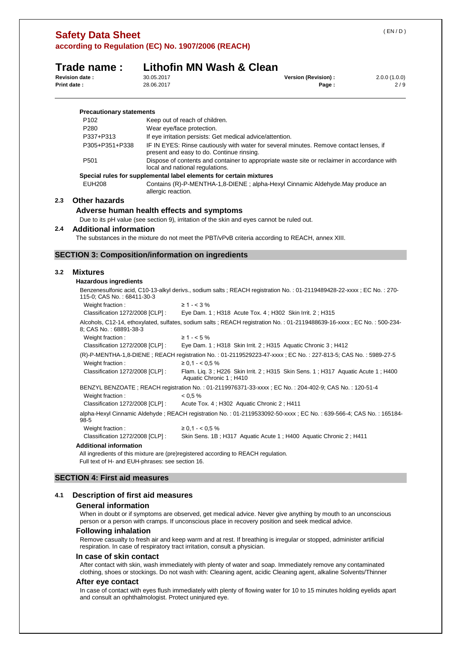|                  | according to Regulation (EC) No. 1907/2006 (REACH)                                                                                               |                          |                                                                                    |                                                                                                                       |                     |  |  |
|------------------|--------------------------------------------------------------------------------------------------------------------------------------------------|--------------------------|------------------------------------------------------------------------------------|-----------------------------------------------------------------------------------------------------------------------|---------------------|--|--|
|                  | Trade name:                                                                                                                                      |                          | Lithofin MN Wash & Clean                                                           |                                                                                                                       |                     |  |  |
|                  | Revision date:<br><b>Print date:</b>                                                                                                             | 30.05.2017<br>28.06.2017 |                                                                                    | Version (Revision) :<br>Page:                                                                                         | 2.0.0(1.0.0)<br>2/9 |  |  |
|                  | <b>Precautionary statements</b>                                                                                                                  |                          |                                                                                    |                                                                                                                       |                     |  |  |
|                  | P <sub>102</sub>                                                                                                                                 |                          | Keep out of reach of children.                                                     |                                                                                                                       |                     |  |  |
|                  | P280                                                                                                                                             |                          | Wear eye/face protection.                                                          |                                                                                                                       |                     |  |  |
|                  | P337+P313                                                                                                                                        |                          | If eye irritation persists: Get medical advice/attention.                          |                                                                                                                       |                     |  |  |
|                  | P305+P351+P338                                                                                                                                   |                          | present and easy to do. Continue rinsing.                                          | IF IN EYES: Rinse cautiously with water for several minutes. Remove contact lenses, if                                |                     |  |  |
|                  | P501                                                                                                                                             |                          | local and national regulations.                                                    | Dispose of contents and container to appropriate waste site or reclaimer in accordance with                           |                     |  |  |
|                  |                                                                                                                                                  |                          | Special rules for supplemental label elements for certain mixtures                 |                                                                                                                       |                     |  |  |
|                  | <b>EUH208</b>                                                                                                                                    | allergic reaction.       |                                                                                    | Contains (R)-P-MENTHA-1,8-DIENE; alpha-Hexyl Cinnamic Aldehyde.May produce an                                         |                     |  |  |
| $2.3\phantom{0}$ | <b>Other hazards</b>                                                                                                                             |                          |                                                                                    |                                                                                                                       |                     |  |  |
|                  |                                                                                                                                                  |                          | Adverse human health effects and symptoms                                          |                                                                                                                       |                     |  |  |
|                  |                                                                                                                                                  |                          |                                                                                    | Due to its pH value (see section 9), irritation of the skin and eyes cannot be ruled out.                             |                     |  |  |
| 2.4              | <b>Additional information</b>                                                                                                                    |                          |                                                                                    |                                                                                                                       |                     |  |  |
|                  |                                                                                                                                                  |                          |                                                                                    | The substances in the mixture do not meet the PBT/vPvB criteria according to REACH, annex XIII.                       |                     |  |  |
|                  |                                                                                                                                                  |                          |                                                                                    |                                                                                                                       |                     |  |  |
|                  | <b>SECTION 3: Composition/information on ingredients</b>                                                                                         |                          |                                                                                    |                                                                                                                       |                     |  |  |
|                  |                                                                                                                                                  |                          |                                                                                    |                                                                                                                       |                     |  |  |
| 3.2              | <b>Mixtures</b>                                                                                                                                  |                          |                                                                                    |                                                                                                                       |                     |  |  |
|                  | <b>Hazardous ingredients</b>                                                                                                                     |                          |                                                                                    |                                                                                                                       |                     |  |  |
|                  | 115-0; CAS No.: 68411-30-3                                                                                                                       |                          |                                                                                    | Benzenesulfonic acid, C10-13-alkyl derivs., sodium salts; REACH registration No.: 01-2119489428-22-xxxx; EC No.: 270- |                     |  |  |
|                  | Weight fraction:                                                                                                                                 |                          | $\geq 1 - < 3\%$                                                                   |                                                                                                                       |                     |  |  |
|                  | Classification 1272/2008 [CLP] :                                                                                                                 |                          |                                                                                    | Eye Dam. 1; H318 Acute Tox. 4; H302 Skin Irrit. 2; H315                                                               |                     |  |  |
|                  | Alcohols, C12-14, ethoxylated, sulfates, sodium salts; REACH registration No.: 01-2119488639-16-xxxx; EC No.: 500-234-<br>8; CAS No.: 68891-38-3 |                          |                                                                                    |                                                                                                                       |                     |  |  |
|                  | Weight fraction:                                                                                                                                 |                          | $\geq 1 - 5\%$                                                                     |                                                                                                                       |                     |  |  |
|                  | Classification 1272/2008 [CLP] :                                                                                                                 |                          |                                                                                    | Eye Dam. 1; H318 Skin Irrit. 2; H315 Aquatic Chronic 3; H412                                                          |                     |  |  |
|                  |                                                                                                                                                  |                          |                                                                                    | (R)-P-MENTHA-1,8-DIENE; REACH registration No.: 01-2119529223-47-xxxx; EC No.: 227-813-5; CAS No.: 5989-27-5          |                     |  |  |
|                  | Weight fraction:                                                                                                                                 |                          | $\geq 0.1 - < 0.5\%$                                                               |                                                                                                                       |                     |  |  |
|                  | Classification 1272/2008 [CLP] :                                                                                                                 |                          | Aquatic Chronic 1; H410                                                            | Flam. Liq. 3; H226 Skin Irrit. 2; H315 Skin Sens. 1; H317 Aquatic Acute 1; H400                                       |                     |  |  |
|                  |                                                                                                                                                  |                          |                                                                                    | BENZYL BENZOATE; REACH registration No.: 01-2119976371-33-xxxx; EC No.: 204-402-9; CAS No.: 120-51-4                  |                     |  |  |
|                  | Weight fraction:<br>Classification 1272/2008 [CLP] :                                                                                             |                          | < 0.5 %                                                                            | Acute Tox. 4; H302 Aquatic Chronic 2; H411                                                                            |                     |  |  |
|                  | $98 - 5$                                                                                                                                         |                          |                                                                                    | alpha-Hexyl Cinnamic Aldehyde; REACH registration No.: 01-2119533092-50-xxxx; EC No.: 639-566-4; CAS No.: 165184-     |                     |  |  |
|                  | Weight fraction:                                                                                                                                 |                          | $\geq 0.1 - < 0.5\%$                                                               |                                                                                                                       |                     |  |  |
|                  | Classification 1272/2008 [CLP] :                                                                                                                 |                          |                                                                                    | Skin Sens. 1B; H317 Aquatic Acute 1; H400 Aquatic Chronic 2; H411                                                     |                     |  |  |
|                  | <b>Additional information</b>                                                                                                                    |                          |                                                                                    |                                                                                                                       |                     |  |  |
|                  | Full text of H- and EUH-phrases: see section 16.                                                                                                 |                          | All ingredients of this mixture are (pre)registered according to REACH regulation. |                                                                                                                       |                     |  |  |

## **SECTION 4: First aid measures**

**Safety Data Sheet** 

## **4.1 Description of first aid measures**

#### **General information**

When in doubt or if symptoms are observed, get medical advice. Never give anything by mouth to an unconscious person or a person with cramps. If unconscious place in recovery position and seek medical advice.

## **Following inhalation**

Remove casualty to fresh air and keep warm and at rest. If breathing is irregular or stopped, administer artificial respiration. In case of respiratory tract irritation, consult a physician.

#### **In case of skin contact**

After contact with skin, wash immediately with plenty of water and soap. Immediately remove any contaminated clothing, shoes or stockings. Do not wash with: Cleaning agent, acidic Cleaning agent, alkaline Solvents/Thinner

#### **After eye contact**

In case of contact with eyes flush immediately with plenty of flowing water for 10 to 15 minutes holding eyelids apart and consult an ophthalmologist. Protect uninjured eye.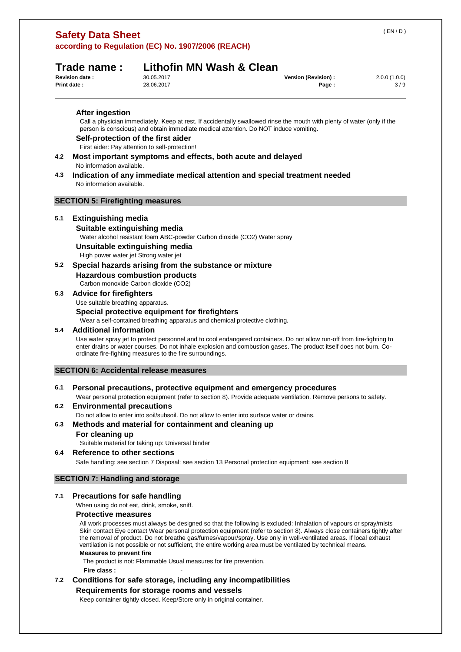## **Trade name : Lithofin MN Wash & Clean**

| 30.05.2017 |  |
|------------|--|
| 28.06.2017 |  |

| <b>Revision date :</b> | 30.05.2017 | Version (Revision) : | 2.0.0(1.0.0) |
|------------------------|------------|----------------------|--------------|
| <b>Print date:</b>     | 28.06.2017 | Page.                | 3/9          |

**After ingestion** 

Call a physician immediately. Keep at rest. If accidentally swallowed rinse the mouth with plenty of water (only if the person is conscious) and obtain immediate medical attention. Do NOT induce vomiting.

## **Self-protection of the first aider**

First aider: Pay attention to self-protection!

- **4.2 Most important symptoms and effects, both acute and delayed**  No information available.
- **4.3 Indication of any immediate medical attention and special treatment needed**  No information available.

## **SECTION 5: Firefighting measures**

## **5.1 Extinguishing media**

#### **Suitable extinguishing media**

Water alcohol resistant foam ABC-powder Carbon dioxide (CO2) Water spray

**Unsuitable extinguishing media** 

High power water jet Strong water jet

## **5.2 Special hazards arising from the substance or mixture**

**Hazardous combustion products** 

Carbon monoxide Carbon dioxide (CO2)

## **5.3 Advice for firefighters**

Use suitable breathing apparatus.

## **Special protective equipment for firefighters**

Wear a self-contained breathing apparatus and chemical protective clothing.

## **5.4 Additional information**

Use water spray jet to protect personnel and to cool endangered containers. Do not allow run-off from fire-fighting to enter drains or water courses. Do not inhale explosion and combustion gases. The product itself does not burn. Coordinate fire-fighting measures to the fire surroundings.

## **SECTION 6: Accidental release measures**

## **6.1 Personal precautions, protective equipment and emergency procedures**

Wear personal protection equipment (refer to section 8). Provide adequate ventilation. Remove persons to safety.

## **6.2 Environmental precautions**

Do not allow to enter into soil/subsoil. Do not allow to enter into surface water or drains.

## **6.3 Methods and material for containment and cleaning up**

## **For cleaning up**

Suitable material for taking up: Universal binder

## **6.4 Reference to other sections**

Safe handling: see section 7 Disposal: see section 13 Personal protection equipment: see section 8

## **SECTION 7: Handling and storage**

## **7.1 Precautions for safe handling**

When using do not eat, drink, smoke, sniff.

## **Protective measures**

All work processes must always be designed so that the following is excluded: Inhalation of vapours or spray/mists Skin contact Eye contact Wear personal protection equipment (refer to section 8). Always close containers tightly after the removal of product. Do not breathe gas/fumes/vapour/spray. Use only in well-ventilated areas. If local exhaust ventilation is not possible or not sufficient, the entire working area must be ventilated by technical means.

## **Measures to prevent fire**

The product is not: Flammable Usual measures for fire prevention.

**Fire class :** -

## **7.2 Conditions for safe storage, including any incompatibilities Requirements for storage rooms and vessels**

Keep container tightly closed. Keep/Store only in original container.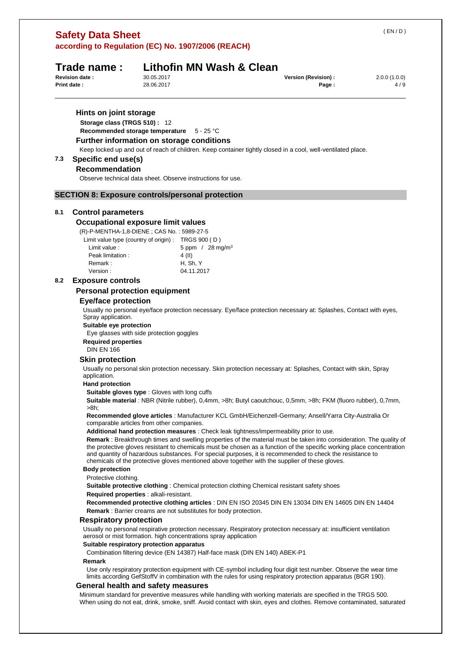# **Safety Data Sheet**

**according to Regulation (EC) No. 1907/2006 (REACH)** 

|     | Print date:                                                                                                                                                                                                                                                                                                                                                                                                                                                 | 28.06.2017 |                                                                         | Page:                                                                                                                                                                                                                                  | 4/9 |  |  |  |  |
|-----|-------------------------------------------------------------------------------------------------------------------------------------------------------------------------------------------------------------------------------------------------------------------------------------------------------------------------------------------------------------------------------------------------------------------------------------------------------------|------------|-------------------------------------------------------------------------|----------------------------------------------------------------------------------------------------------------------------------------------------------------------------------------------------------------------------------------|-----|--|--|--|--|
|     | Hints on joint storage<br>Storage class (TRGS 510): 12<br>Recommended storage temperature<br>Further information on storage conditions                                                                                                                                                                                                                                                                                                                      |            | $5 - 25 °C$                                                             |                                                                                                                                                                                                                                        |     |  |  |  |  |
|     |                                                                                                                                                                                                                                                                                                                                                                                                                                                             |            |                                                                         | Keep locked up and out of reach of children. Keep container tightly closed in a cool, well-ventilated place.                                                                                                                           |     |  |  |  |  |
| 7.3 | Specific end use(s)                                                                                                                                                                                                                                                                                                                                                                                                                                         |            |                                                                         |                                                                                                                                                                                                                                        |     |  |  |  |  |
|     | <b>Recommendation</b>                                                                                                                                                                                                                                                                                                                                                                                                                                       |            |                                                                         |                                                                                                                                                                                                                                        |     |  |  |  |  |
|     |                                                                                                                                                                                                                                                                                                                                                                                                                                                             |            | Observe technical data sheet. Observe instructions for use.             |                                                                                                                                                                                                                                        |     |  |  |  |  |
|     | <b>SECTION 8: Exposure controls/personal protection</b>                                                                                                                                                                                                                                                                                                                                                                                                     |            |                                                                         |                                                                                                                                                                                                                                        |     |  |  |  |  |
| 8.1 | <b>Control parameters</b>                                                                                                                                                                                                                                                                                                                                                                                                                                   |            |                                                                         |                                                                                                                                                                                                                                        |     |  |  |  |  |
|     | <b>Occupational exposure limit values</b>                                                                                                                                                                                                                                                                                                                                                                                                                   |            |                                                                         |                                                                                                                                                                                                                                        |     |  |  |  |  |
|     | (R)-P-MENTHA-1,8-DIENE; CAS No.: 5989-27-5                                                                                                                                                                                                                                                                                                                                                                                                                  |            |                                                                         |                                                                                                                                                                                                                                        |     |  |  |  |  |
|     | Limit value type (country of origin) : TRGS 900 (D)                                                                                                                                                                                                                                                                                                                                                                                                         |            |                                                                         |                                                                                                                                                                                                                                        |     |  |  |  |  |
|     | Limit value :                                                                                                                                                                                                                                                                                                                                                                                                                                               |            | 5 ppm / 28 mg/m <sup>3</sup>                                            |                                                                                                                                                                                                                                        |     |  |  |  |  |
|     | Peak limitation:                                                                                                                                                                                                                                                                                                                                                                                                                                            |            | 4 (II)                                                                  |                                                                                                                                                                                                                                        |     |  |  |  |  |
|     | Remark:                                                                                                                                                                                                                                                                                                                                                                                                                                                     |            | H, Sh, Y                                                                |                                                                                                                                                                                                                                        |     |  |  |  |  |
|     | Version:                                                                                                                                                                                                                                                                                                                                                                                                                                                    |            | 04.11.2017                                                              |                                                                                                                                                                                                                                        |     |  |  |  |  |
| 8.2 | <b>Exposure controls</b>                                                                                                                                                                                                                                                                                                                                                                                                                                    |            |                                                                         |                                                                                                                                                                                                                                        |     |  |  |  |  |
|     | <b>Personal protection equipment</b>                                                                                                                                                                                                                                                                                                                                                                                                                        |            |                                                                         |                                                                                                                                                                                                                                        |     |  |  |  |  |
|     | <b>Eye/face protection</b><br>Spray application.                                                                                                                                                                                                                                                                                                                                                                                                            |            |                                                                         | Usually no personal eye/face protection necessary. Eye/face protection necessary at: Splashes, Contact with eyes,                                                                                                                      |     |  |  |  |  |
|     | Suitable eye protection<br>Eye glasses with side protection goggles                                                                                                                                                                                                                                                                                                                                                                                         |            |                                                                         |                                                                                                                                                                                                                                        |     |  |  |  |  |
|     | <b>Required properties</b>                                                                                                                                                                                                                                                                                                                                                                                                                                  |            |                                                                         |                                                                                                                                                                                                                                        |     |  |  |  |  |
|     | <b>DIN EN 166</b>                                                                                                                                                                                                                                                                                                                                                                                                                                           |            |                                                                         |                                                                                                                                                                                                                                        |     |  |  |  |  |
|     | <b>Skin protection</b>                                                                                                                                                                                                                                                                                                                                                                                                                                      |            |                                                                         |                                                                                                                                                                                                                                        |     |  |  |  |  |
|     | Usually no personal skin protection necessary. Skin protection necessary at: Splashes, Contact with skin, Spray<br>application.                                                                                                                                                                                                                                                                                                                             |            |                                                                         |                                                                                                                                                                                                                                        |     |  |  |  |  |
|     | <b>Hand protection</b>                                                                                                                                                                                                                                                                                                                                                                                                                                      |            |                                                                         |                                                                                                                                                                                                                                        |     |  |  |  |  |
|     | Suitable gloves type : Gloves with long cuffs<br>Suitable material : NBR (Nitrile rubber), 0,4mm, >8h; Butyl caoutchouc, 0,5mm, >8h; FKM (fluoro rubber), 0,7mm,<br>>8h;                                                                                                                                                                                                                                                                                    |            |                                                                         |                                                                                                                                                                                                                                        |     |  |  |  |  |
|     | Recommended glove articles : Manufacturer KCL GmbH/Eichenzell-Germany; Ansell/Yarra City-Australia Or<br>comparable articles from other companies.                                                                                                                                                                                                                                                                                                          |            |                                                                         |                                                                                                                                                                                                                                        |     |  |  |  |  |
|     |                                                                                                                                                                                                                                                                                                                                                                                                                                                             |            |                                                                         | Additional hand protection measures : Check leak tightness/impermeability prior to use.                                                                                                                                                |     |  |  |  |  |
|     | Remark : Breakthrough times and swelling properties of the material must be taken into consideration. The quality of<br>the protective gloves resistant to chemicals must be chosen as a function of the specific working place concentration<br>and quantity of hazardous substances. For special purposes, it is recommended to check the resistance to<br>chemicals of the protective gloves mentioned above together with the supplier of these gloves. |            |                                                                         |                                                                                                                                                                                                                                        |     |  |  |  |  |
|     | <b>Body protection</b>                                                                                                                                                                                                                                                                                                                                                                                                                                      |            |                                                                         |                                                                                                                                                                                                                                        |     |  |  |  |  |
|     | Protective clothing.                                                                                                                                                                                                                                                                                                                                                                                                                                        |            |                                                                         |                                                                                                                                                                                                                                        |     |  |  |  |  |
|     |                                                                                                                                                                                                                                                                                                                                                                                                                                                             |            |                                                                         | <b>Suitable protective clothing: Chemical protection clothing Chemical resistant safety shoes</b>                                                                                                                                      |     |  |  |  |  |
|     | Required properties : alkali-resistant.                                                                                                                                                                                                                                                                                                                                                                                                                     |            |                                                                         |                                                                                                                                                                                                                                        |     |  |  |  |  |
|     |                                                                                                                                                                                                                                                                                                                                                                                                                                                             |            | <b>Remark</b> : Barrier creams are not substitutes for body protection. | Recommended protective clothing articles : DIN EN ISO 20345 DIN EN 13034 DIN EN 14605 DIN EN 14404                                                                                                                                     |     |  |  |  |  |
|     | <b>Respiratory protection</b>                                                                                                                                                                                                                                                                                                                                                                                                                               |            |                                                                         |                                                                                                                                                                                                                                        |     |  |  |  |  |
|     |                                                                                                                                                                                                                                                                                                                                                                                                                                                             |            | aerosol or mist formation. high concentrations spray application        | Usually no personal respirative protection necessary. Respiratory protection necessary at: insufficient ventilation                                                                                                                    |     |  |  |  |  |
|     | Suitable respiratory protection apparatus                                                                                                                                                                                                                                                                                                                                                                                                                   |            |                                                                         | Combination filtering device (EN 14387) Half-face mask (DIN EN 140) ABEK-P1                                                                                                                                                            |     |  |  |  |  |
|     | Remark                                                                                                                                                                                                                                                                                                                                                                                                                                                      |            |                                                                         | Use only respiratory protection equipment with CE-symbol including four digit test number. Observe the wear time<br>limits according GefStoffV in combination with the rules for using respiratory protection apparatus (BGR 190).     |     |  |  |  |  |
|     | General health and safety measures                                                                                                                                                                                                                                                                                                                                                                                                                          |            |                                                                         |                                                                                                                                                                                                                                        |     |  |  |  |  |
|     |                                                                                                                                                                                                                                                                                                                                                                                                                                                             |            |                                                                         | Minimum standard for preventive measures while handling with working materials are specified in the TRGS 500.<br>When using do not eat, drink, smoke, sniff. Avoid contact with skin, eyes and clothes. Remove contaminated, saturated |     |  |  |  |  |

## ( EN / D )

**Trade name :** Lithofin MN Wash & Clean Revision date : 30.05.2017 **Revision (Revision) :**  $2.0.0 (1.0.0)$ <br> **Rev Revision** :  $2.0.0 (1.0.0)$ <br> **Revision** :  $4/9$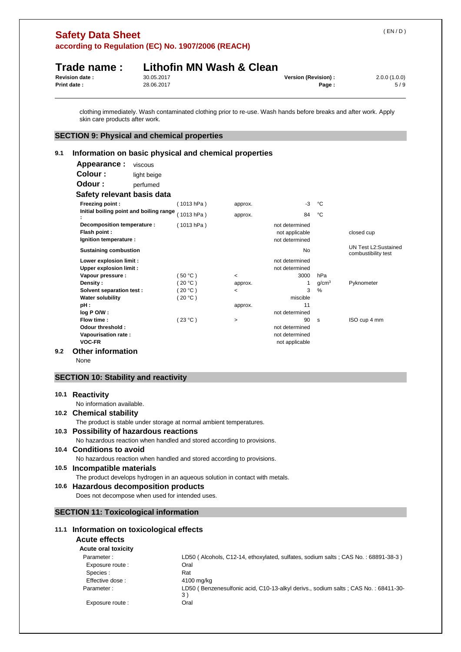| Print date: | Trade name:<br><b>Revision date:</b>                                                                        | 30.05.2017<br>28.06.2017 | Lithofin MN Wash & Clean |                                     | Version (Revision) :             | Page:                    | 2.0.0(1.0.0)<br>5/9                                                                                              |
|-------------|-------------------------------------------------------------------------------------------------------------|--------------------------|--------------------------|-------------------------------------|----------------------------------|--------------------------|------------------------------------------------------------------------------------------------------------------|
|             | skin care products after work.                                                                              |                          |                          |                                     |                                  |                          | clothing immediately. Wash contaminated clothing prior to re-use. Wash hands before breaks and after work. Apply |
|             | <b>SECTION 9: Physical and chemical properties</b>                                                          |                          |                          |                                     |                                  |                          |                                                                                                                  |
| 9.1         | Information on basic physical and chemical properties                                                       |                          |                          |                                     |                                  |                          |                                                                                                                  |
|             | Appearance:                                                                                                 | viscous                  |                          |                                     |                                  |                          |                                                                                                                  |
|             | Colour :                                                                                                    | light beige              |                          |                                     |                                  |                          |                                                                                                                  |
|             | Odour :                                                                                                     | perfumed                 |                          |                                     |                                  |                          |                                                                                                                  |
|             | Safety relevant basis data                                                                                  |                          |                          |                                     |                                  |                          |                                                                                                                  |
|             | Freezing point :                                                                                            |                          | (1013 hPa)               | approx.                             | -3                               | °C                       |                                                                                                                  |
|             | Initial boiling point and boiling range                                                                     |                          | (1013 hPa)               | approx.                             | 84                               | °C                       |                                                                                                                  |
|             | Decomposition temperature :                                                                                 |                          | (1013 hPa)               |                                     | not determined                   |                          |                                                                                                                  |
|             | Flash point :<br>Ignition temperature :                                                                     |                          |                          |                                     | not applicable<br>not determined |                          | closed cup                                                                                                       |
|             | <b>Sustaining combustion</b>                                                                                |                          |                          |                                     | No                               |                          | UN Test L2:Sustained<br>combustibility test                                                                      |
|             | Lower explosion limit :                                                                                     |                          |                          |                                     | not determined                   |                          |                                                                                                                  |
|             | <b>Upper explosion limit:</b>                                                                               |                          |                          |                                     | not determined                   |                          |                                                                                                                  |
|             | Vapour pressure :<br>Density:                                                                               |                          | (50 °C)<br>(20 °C)       | $\overline{\phantom{a}}$<br>approx. | 3000<br>1                        | hPa<br>g/cm <sup>3</sup> | Pyknometer                                                                                                       |
|             | Solvent separation test :                                                                                   |                          | (20 °C)                  | $\overline{\phantom{a}}$            | 3                                | %                        |                                                                                                                  |
|             | <b>Water solubility</b>                                                                                     |                          | (20 °C)                  |                                     | miscible                         |                          |                                                                                                                  |
|             | pH :<br>log P O/W :                                                                                         |                          |                          | approx.                             | 11<br>not determined             |                          |                                                                                                                  |
|             | Flow time:                                                                                                  |                          | (23 °C)                  | $\,$                                | 90                               | s                        | ISO cup 4 mm                                                                                                     |
|             | Odour threshold :                                                                                           |                          |                          |                                     | not determined<br>not determined |                          |                                                                                                                  |
|             | Vapourisation rate:<br><b>VOC-FR</b>                                                                        |                          |                          |                                     | not applicable                   |                          |                                                                                                                  |
| 9.2         | <b>Other information</b>                                                                                    |                          |                          |                                     |                                  |                          |                                                                                                                  |
|             | None                                                                                                        |                          |                          |                                     |                                  |                          |                                                                                                                  |
|             | <b>SECTION 10: Stability and reactivity</b>                                                                 |                          |                          |                                     |                                  |                          |                                                                                                                  |
|             | 10.1 Reactivity                                                                                             |                          |                          |                                     |                                  |                          |                                                                                                                  |
|             | No information available.                                                                                   |                          |                          |                                     |                                  |                          |                                                                                                                  |
|             | 10.2 Chemical stability                                                                                     |                          |                          |                                     |                                  |                          |                                                                                                                  |
|             | The product is stable under storage at normal ambient temperatures.                                         |                          |                          |                                     |                                  |                          |                                                                                                                  |
|             | 10.3 Possibility of hazardous reactions                                                                     |                          |                          |                                     |                                  |                          |                                                                                                                  |
|             | No hazardous reaction when handled and stored according to provisions.                                      |                          |                          |                                     |                                  |                          |                                                                                                                  |
|             | 10.4 Conditions to avoid                                                                                    |                          |                          |                                     |                                  |                          |                                                                                                                  |
|             | No hazardous reaction when handled and stored according to provisions.                                      |                          |                          |                                     |                                  |                          |                                                                                                                  |
|             | 10.5 Incompatible materials<br>The product develops hydrogen in an aqueous solution in contact with metals. |                          |                          |                                     |                                  |                          |                                                                                                                  |
|             | 10.6 Hazardous decomposition products                                                                       |                          |                          |                                     |                                  |                          |                                                                                                                  |
|             | Does not decompose when used for intended uses.                                                             |                          |                          |                                     |                                  |                          |                                                                                                                  |
|             |                                                                                                             |                          |                          |                                     |                                  |                          |                                                                                                                  |
|             | <b>SECTION 11: Toxicological information</b>                                                                |                          |                          |                                     |                                  |                          |                                                                                                                  |
| 11.1        | Information on toxicological effects                                                                        |                          |                          |                                     |                                  |                          |                                                                                                                  |
|             | <b>Acute effects</b>                                                                                        |                          |                          |                                     |                                  |                          |                                                                                                                  |
|             | Acute oral toxicity                                                                                         |                          |                          |                                     |                                  |                          |                                                                                                                  |
|             | Parameter:                                                                                                  |                          | Oral                     |                                     |                                  |                          | LD50 (Alcohols, C12-14, ethoxylated, sulfates, sodium salts; CAS No.: 68891-38-3)                                |
|             | Exposure route :<br>Species :                                                                               |                          | Rat                      |                                     |                                  |                          |                                                                                                                  |
|             | Effective dose:                                                                                             |                          | 4100 mg/kg               |                                     |                                  |                          |                                                                                                                  |
|             | Parameter:                                                                                                  |                          |                          |                                     |                                  |                          | LD50 (Benzenesulfonic acid, C10-13-alkyl derivs., sodium salts; CAS No.: 68411-30-                               |
|             | Exposure route :                                                                                            |                          | 3)<br>Oral               |                                     |                                  |                          |                                                                                                                  |
|             |                                                                                                             |                          |                          |                                     |                                  |                          |                                                                                                                  |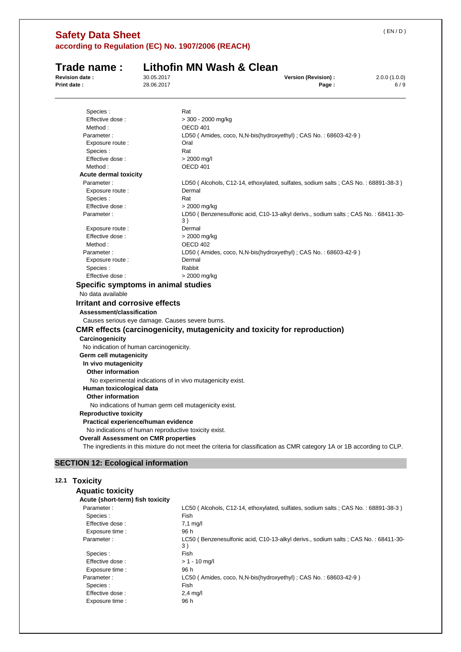| <b>Revision date:</b>                                | 30.05.2017 | Version (Revision) :<br>2.0.0(1.0.0)                                                                                   |
|------------------------------------------------------|------------|------------------------------------------------------------------------------------------------------------------------|
| <b>Print date:</b>                                   | 28.06.2017 | Page:<br>6/9                                                                                                           |
| Species :                                            |            | Rat                                                                                                                    |
| Effective dose :                                     |            | > 300 - 2000 mg/kg                                                                                                     |
| Method:                                              |            | OECD 401                                                                                                               |
| Parameter:                                           |            | LD50 (Amides, coco, N,N-bis(hydroxyethyl); CAS No.: 68603-42-9)                                                        |
| Exposure route :                                     |            | Oral                                                                                                                   |
| Species:                                             |            | Rat                                                                                                                    |
| Effective dose:                                      |            | > 2000 mg/l                                                                                                            |
| Method:                                              |            | OECD 401                                                                                                               |
| <b>Acute dermal toxicity</b>                         |            |                                                                                                                        |
| Parameter:                                           |            | LD50 (Alcohols, C12-14, ethoxylated, sulfates, sodium salts; CAS No.: 68891-38-3)                                      |
| Exposure route :                                     |            | Dermal                                                                                                                 |
| Species :                                            |            | Rat                                                                                                                    |
| Effective dose:                                      |            | > 2000 mg/kg                                                                                                           |
| Parameter:                                           |            | LD50 (Benzenesulfonic acid, C10-13-alkyl derivs., sodium salts; CAS No.: 68411-30-<br>3)                               |
| Exposure route :                                     |            | Dermal                                                                                                                 |
| Effective dose:                                      |            | > 2000 mg/kg                                                                                                           |
| Method:                                              |            | OECD 402                                                                                                               |
| Parameter:                                           |            | LD50 (Amides, coco, N,N-bis(hydroxyethyl); CAS No.: 68603-42-9)                                                        |
| Exposure route :                                     |            | Dermal                                                                                                                 |
| Species :                                            |            | Rabbit                                                                                                                 |
| Effective dose:                                      |            | > 2000 mg/kg                                                                                                           |
| Specific symptoms in animal studies                  |            |                                                                                                                        |
| No data available                                    |            |                                                                                                                        |
| <b>Irritant and corrosive effects</b>                |            |                                                                                                                        |
| Assessment/classification                            |            |                                                                                                                        |
| Causes serious eye damage. Causes severe burns.      |            |                                                                                                                        |
|                                                      |            | <b>CMR</b> effects (carcinogenicity, mutagenicity and toxicity for reproduction)                                       |
| Carcinogenicity                                      |            |                                                                                                                        |
| No indication of human carcinogenicity.              |            |                                                                                                                        |
| Germ cell mutagenicity                               |            |                                                                                                                        |
| In vivo mutagenicity                                 |            |                                                                                                                        |
| <b>Other information</b>                             |            |                                                                                                                        |
|                                                      |            | No experimental indications of in vivo mutagenicity exist.                                                             |
| Human toxicological data                             |            |                                                                                                                        |
| <b>Other information</b>                             |            |                                                                                                                        |
|                                                      |            | No indications of human germ cell mutagenicity exist.                                                                  |
| <b>Reproductive toxicity</b>                         |            |                                                                                                                        |
| Practical experience/human evidence                  |            |                                                                                                                        |
| No indications of human reproductive toxicity exist. |            |                                                                                                                        |
|                                                      |            |                                                                                                                        |
| <b>Overall Assessment on CMR properties</b>          |            | The ingredients in this mixture do not meet the criteria for classification as CMR category 1A or 1B according to CLP. |
|                                                      |            |                                                                                                                        |
| <b>SECTION 12: Ecological information</b>            |            |                                                                                                                        |

# **12.1 Toxicity**

| <b>Aquatic toxicity</b>          |                                                                                            |
|----------------------------------|--------------------------------------------------------------------------------------------|
| Acute (short-term) fish toxicity |                                                                                            |
| Parameter:                       | LC50 (Alcohols, C12-14, ethoxylated, sulfates, sodium salts : CAS No. : 68891-38-3)        |
| Species:                         | Fish                                                                                       |
| Effective dose:                  | $7.1 \text{ mq/l}$                                                                         |
| Exposure time :                  | 96 h                                                                                       |
| Parameter:                       | LC50 (Benzenesulfonic acid, C10-13-alkyl derivs., sodium salts : CAS No. : 68411-30-<br>3) |
| Species :                        | Fish                                                                                       |
| Effective dose:                  | $> 1 - 10$ mg/l                                                                            |
| Exposure time :                  | 96 h                                                                                       |
| Parameter:                       | LC50 (Amides, coco, N,N-bis(hydroxyethyl) ; CAS No.: 68603-42-9)                           |
| Species :                        | Fish                                                                                       |
| Effective dose:                  | $2.4$ mg/l                                                                                 |
| Exposure time :                  | 96 h                                                                                       |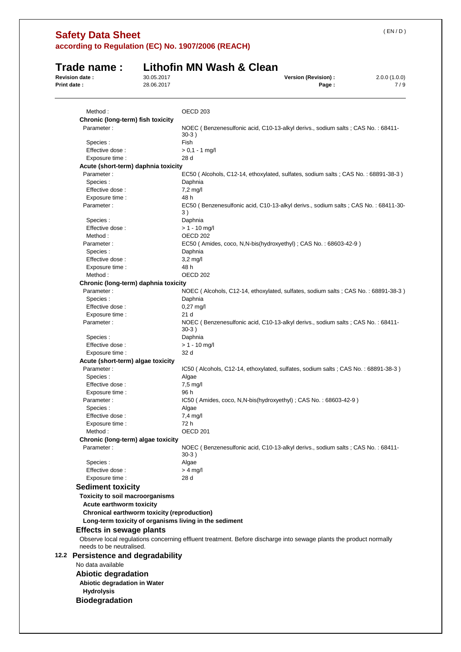| Revision date: | Trade name:                                                    | 30.05.2017 | Lithofin MN Wash & Clean<br>Version (Revision) :<br>2.0.0(1.0.0)                                                  |
|----------------|----------------------------------------------------------------|------------|-------------------------------------------------------------------------------------------------------------------|
| Print date:    |                                                                | 28.06.2017 | 7/9<br>Page:                                                                                                      |
|                |                                                                |            |                                                                                                                   |
|                | Method:                                                        |            | OECD <sub>203</sub>                                                                                               |
|                | Chronic (long-term) fish toxicity                              |            |                                                                                                                   |
|                | Parameter:                                                     |            | NOEC (Benzenesulfonic acid, C10-13-alkyl derivs., sodium salts; CAS No.: 68411-                                   |
|                |                                                                |            | $30-3)$                                                                                                           |
|                | Species:                                                       |            | Fish                                                                                                              |
|                | Effective dose:                                                |            | $> 0.1 - 1$ mg/l                                                                                                  |
|                | Exposure time :<br>Acute (short-term) daphnia toxicity         |            | 28 d                                                                                                              |
|                | Parameter:                                                     |            | EC50 (Alcohols, C12-14, ethoxylated, sulfates, sodium salts; CAS No.: 68891-38-3)                                 |
|                | Species:                                                       |            | Daphnia                                                                                                           |
|                | Effective dose :                                               |            | $7,2$ mg/l                                                                                                        |
|                | Exposure time :                                                |            | 48 h                                                                                                              |
|                | Parameter:                                                     |            | EC50 (Benzenesulfonic acid, C10-13-alkyl derivs., sodium salts; CAS No.: 68411-30-<br>3)                          |
|                | Species :                                                      |            | Daphnia                                                                                                           |
|                | Effective dose:                                                |            | $> 1 - 10$ mg/l                                                                                                   |
|                | Method:                                                        |            | OECD <sub>202</sub>                                                                                               |
|                | Parameter:<br>Species:                                         |            | EC50 (Amides, coco, N, N-bis (hydroxyethyl); CAS No.: 68603-42-9)<br>Daphnia                                      |
|                | Effective dose:                                                |            | $3,2$ mg/l                                                                                                        |
|                | Exposure time :                                                |            | 48 h                                                                                                              |
|                | Method:                                                        |            | OECD <sub>202</sub>                                                                                               |
|                | Chronic (long-term) daphnia toxicity                           |            |                                                                                                                   |
|                | Parameter:                                                     |            | NOEC (Alcohols, C12-14, ethoxylated, sulfates, sodium salts; CAS No.: 68891-38-3)                                 |
|                | Species :                                                      |            | Daphnia                                                                                                           |
|                | Effective dose:                                                |            | $0,27$ mg/l                                                                                                       |
|                | Exposure time :                                                |            | 21 d                                                                                                              |
|                | Parameter:                                                     |            | NOEC (Benzenesulfonic acid, C10-13-alkyl derivs., sodium salts; CAS No.: 68411-<br>$30-3)$                        |
|                | Species :<br>Effective dose:                                   |            | Daphnia<br>$> 1 - 10$ mg/l                                                                                        |
|                | Exposure time :                                                |            | 32 d                                                                                                              |
|                | Acute (short-term) algae toxicity                              |            |                                                                                                                   |
|                | Parameter:                                                     |            | IC50 (Alcohols, C12-14, ethoxylated, sulfates, sodium salts; CAS No.: 68891-38-3)                                 |
|                | Species:                                                       |            | Algae                                                                                                             |
|                | Effective dose:                                                |            | $7,5$ mg/l                                                                                                        |
|                | Exposure time :                                                |            | 96 h                                                                                                              |
|                | Parameter :                                                    |            | IC50 (Amides, coco, N,N-bis(hydroxyethyl); CAS No.: 68603-42-9)                                                   |
|                | Species :                                                      |            | Algae                                                                                                             |
|                | Effective dose:<br>Exposure time :                             |            | $7,4$ mg/l<br>72 h                                                                                                |
|                | Method:                                                        |            | OECD <sub>201</sub>                                                                                               |
|                | Chronic (long-term) algae toxicity                             |            |                                                                                                                   |
|                | Parameter:                                                     |            | NOEC (Benzenesulfonic acid, C10-13-alkyl derivs., sodium salts; CAS No.: 68411-<br>$30-3)$                        |
|                | Species :                                                      |            | Algae                                                                                                             |
|                | Effective dose:                                                |            | $> 4$ mg/l                                                                                                        |
|                | Exposure time :                                                |            | 28 d                                                                                                              |
|                | <b>Sediment toxicity</b>                                       |            |                                                                                                                   |
|                | Toxicity to soil macroorganisms                                |            |                                                                                                                   |
|                | Acute earthworm toxicity                                       |            |                                                                                                                   |
|                | Chronical earthworm toxicity (reproduction)                    |            |                                                                                                                   |
|                |                                                                |            | Long-term toxicity of organisms living in the sediment                                                            |
|                | <b>Effects in sewage plants</b>                                |            | Observe local regulations concerning effluent treatment. Before discharge into sewage plants the product normally |
|                | needs to be neutralised.<br>12.2 Persistence and degradability |            |                                                                                                                   |
|                | No data available                                              |            |                                                                                                                   |
|                |                                                                |            |                                                                                                                   |
|                | <b>Abiotic degradation</b><br>Abiotic degradation in Water     |            |                                                                                                                   |
|                | <b>Hydrolysis</b>                                              |            |                                                                                                                   |
|                |                                                                |            |                                                                                                                   |
|                | <b>Biodegradation</b>                                          |            |                                                                                                                   |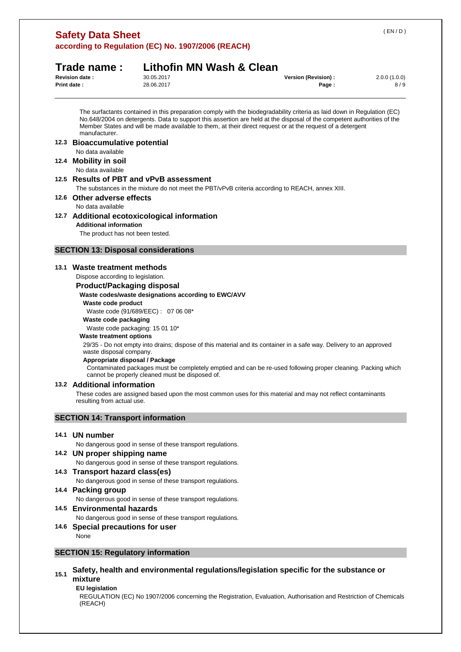| <b>Safety Data Sheet</b>                           |  |  |
|----------------------------------------------------|--|--|
| according to Regulation (EC) No. 1907/2006 (REACH) |  |  |

## **Trade name : Lithofin MN Wash & Clean Revision date :** 30.05.2017 **Version (Revision) :** 2.0.0 (1.0.0)

| <b>Revision date :</b> | 30.05.2017 | Version (Revision) : | 2.0.0(1.0.0) |
|------------------------|------------|----------------------|--------------|
| <b>Print date:</b>     | 28.06.2017 | Page                 | 8 / S        |

The surfactants contained in this preparation comply with the biodegradability criteria as laid down in Regulation (EC) No.648/2004 on detergents. Data to support this assertion are held at the disposal of the competent authorities of the Member States and will be made available to them, at their direct request or at the request of a detergent manufacturer.

**12.3 Bioaccumulative potential**  No data available **12.4 Mobility in soil** 

## No data available

## **12.5 Results of PBT and vPvB assessment**

The substances in the mixture do not meet the PBT/vPvB criteria according to REACH, annex XIII.

## **12.6 Other adverse effects**

No data available

**12.7 Additional ecotoxicological information Additional information** 

The product has not been tested.

## **SECTION 13: Disposal considerations**

## **13.1 Waste treatment methods**

Dispose according to legislation.

#### **Product/Packaging disposal**

#### **Waste codes/waste designations according to EWC/AVV**

## **Waste code product**

Waste code (91/689/EEC) : 07 06 08\*

## **Waste code packaging**

Waste code packaging: 15 01 10\*

#### **Waste treatment options**

29/35 - Do not empty into drains; dispose of this material and its container in a safe way. Delivery to an approved waste disposal company.

#### **Appropriate disposal / Package**

Contaminated packages must be completely emptied and can be re-used following proper cleaning. Packing which cannot be properly cleaned must be disposed of.

## **13.2 Additional information**

These codes are assigned based upon the most common uses for this material and may not reflect contaminants resulting from actual use.

## **SECTION 14: Transport information**

## **14.1 UN number**

No dangerous good in sense of these transport regulations.

## **14.2 UN proper shipping name**

No dangerous good in sense of these transport regulations.

**14.3 Transport hazard class(es)**  No dangerous good in sense of these transport regulations.

## **14.4 Packing group**

No dangerous good in sense of these transport regulations.

## **14.5 Environmental hazards**

No dangerous good in sense of these transport regulations.

#### **14.6 Special precautions for user**

None

## **SECTION 15: Regulatory information**

## **15.1 Safety, health and environmental regulations/legislation specific for the substance or mixture**

#### **EU legislation**

REGULATION (EC) No 1907/2006 concerning the Registration, Evaluation, Authorisation and Restriction of Chemicals (REACH)